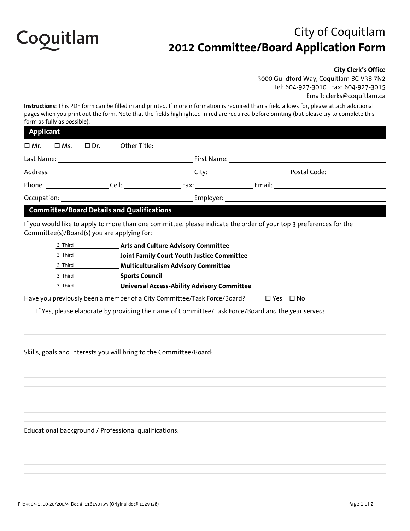

## City of Coquitlam **2012 Committee/Board Application Form**

## **City Clerk's Office**

| 3000 Guildford Way, Coquitlam BC V3B 7N2 |                                     |  |  |  |  |
|------------------------------------------|-------------------------------------|--|--|--|--|
|                                          | Tel: 604-927-3010 Fax: 604-927-3015 |  |  |  |  |
| Email: clerks@coquitlam.ca               |                                     |  |  |  |  |

**Instructions**: This PDF form can be filled in and printed. If more information is required than a field allows for, please attach additional pages when you print out the form. Note that the fields highlighted in red are required before printing (but please try to complete this form as fully as possible).

| <b>Applicant</b> |                                                                            |  |                                                                                                   |  |                                                      |                                                                                                                                                                                                                                |  |  |
|------------------|----------------------------------------------------------------------------|--|---------------------------------------------------------------------------------------------------|--|------------------------------------------------------|--------------------------------------------------------------------------------------------------------------------------------------------------------------------------------------------------------------------------------|--|--|
| □ Mr.            |                                                                            |  |                                                                                                   |  |                                                      |                                                                                                                                                                                                                                |  |  |
|                  |                                                                            |  |                                                                                                   |  | First Name: <u>_________________________________</u> |                                                                                                                                                                                                                                |  |  |
|                  |                                                                            |  |                                                                                                   |  |                                                      | Address: National Address: Address: Address: Address: Address: Address: Address: Address: Address: Address: Address: Address: Address: Address: Address: Address: Address: Address: Address: Address: Address: Address: Addres |  |  |
|                  |                                                                            |  |                                                                                                   |  |                                                      |                                                                                                                                                                                                                                |  |  |
|                  |                                                                            |  |                                                                                                   |  |                                                      |                                                                                                                                                                                                                                |  |  |
|                  |                                                                            |  | <b>Committee/Board Details and Qualifications</b>                                                 |  |                                                      |                                                                                                                                                                                                                                |  |  |
|                  |                                                                            |  | Committee(s)/Board(s) you are applying for:                                                       |  |                                                      | If you would like to apply to more than one committee, please indicate the order of your top 3 preferences for the                                                                                                             |  |  |
|                  | <b>Example 2 Arts and Culture Advisory Committee</b><br>3 Third            |  |                                                                                                   |  |                                                      |                                                                                                                                                                                                                                |  |  |
|                  | 3 Third <b>Subset Committee</b> Joint Family Court Youth Justice Committee |  |                                                                                                   |  |                                                      |                                                                                                                                                                                                                                |  |  |
|                  |                                                                            |  | 3 Third <b>Multiculturalism Advisory Committee</b>                                                |  |                                                      |                                                                                                                                                                                                                                |  |  |
|                  | 3 Third <b>Sports Council</b>                                              |  |                                                                                                   |  |                                                      |                                                                                                                                                                                                                                |  |  |
|                  | Universal Access-Ability Advisory Committee<br>3 Third                     |  |                                                                                                   |  |                                                      |                                                                                                                                                                                                                                |  |  |
|                  |                                                                            |  | Have you previously been a member of a City Committee/Task Force/Board?                           |  |                                                      | □ Yes □ No                                                                                                                                                                                                                     |  |  |
|                  |                                                                            |  | If Yes, please elaborate by providing the name of Committee/Task Force/Board and the year served: |  |                                                      |                                                                                                                                                                                                                                |  |  |
|                  |                                                                            |  |                                                                                                   |  |                                                      |                                                                                                                                                                                                                                |  |  |
|                  |                                                                            |  |                                                                                                   |  |                                                      |                                                                                                                                                                                                                                |  |  |
|                  |                                                                            |  | Skills, goals and interests you will bring to the Committee/Board:                                |  |                                                      |                                                                                                                                                                                                                                |  |  |
|                  |                                                                            |  |                                                                                                   |  |                                                      |                                                                                                                                                                                                                                |  |  |
|                  |                                                                            |  |                                                                                                   |  |                                                      |                                                                                                                                                                                                                                |  |  |

Educational background / Professional qualifications: